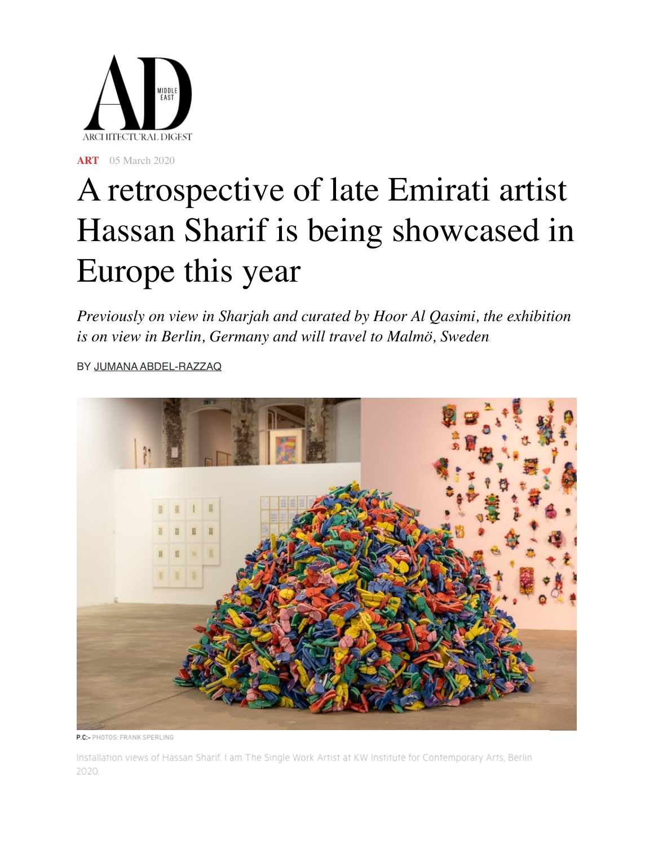

**[ART](https://www.admiddleeast.com/art-design/art)** 05 March 2020

## A retrospective of late Emirati artist Hassan Sharif is being showcased in Europe this year

*Previously on view in Sharjah and curated by Hoor Al Qasimi, the exhibition is on view in Berlin, Germany and will travel to Malmö, Sweden*

BY [JUMANA ABDEL-RAZZAQ](https://www.admiddleeast.com/author/jumana-abdel-razzaq)



P.C:- PHOTOS: FRANK SPERLING

Installation views of Hassan Sharif. I am The Single Work Artist at KW Institute for Contemporary Arts, Berlin 2020.